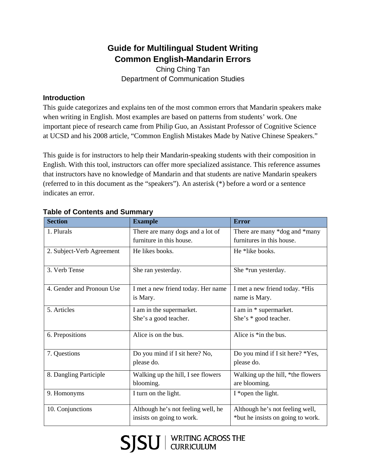# **Guide for Multilingual Student Writing Common English-Mandarin Errors**

Ching Ching Tan Department of Communication Studies

# **Introduction**

This guide categorizes and explains ten of the most common errors that Mandarin speakers make when writing in English. Most examples are based on patterns from students' work. One important piece of research came from Philip Guo, an Assistant Professor of Cognitive Science at UCSD and his 2008 article, "Common English Mistakes Made by Native Chinese Speakers."

This guide is for instructors to help their Mandarin-speaking students with their composition in English. With this tool, instructors can offer more specialized assistance. This reference assumes that instructors have no knowledge of Mandarin and that students are native Mandarin speakers (referred to in this document as the "speakers"). An asterisk (\*) before a word or a sentence indicates an error.

| <b>Section</b>            | <b>Example</b>                                  | <b>Error</b>                                       |
|---------------------------|-------------------------------------------------|----------------------------------------------------|
| 1. Plurals                | There are many dogs and a lot of                | There are many *dog and *many                      |
|                           | furniture in this house.                        | furnitures in this house.                          |
| 2. Subject-Verb Agreement | He likes books.                                 | He *like books.                                    |
| 3. Verb Tense             | She ran yesterday.                              | She *run yesterday.                                |
| 4. Gender and Pronoun Use | I met a new friend today. Her name              | I met a new friend today. *His                     |
|                           | is Mary.                                        | name is Mary.                                      |
| 5. Articles               | I am in the supermarket.                        | I am in * supermarket.                             |
|                           | She's a good teacher.                           | She's * good teacher.                              |
| 6. Prepositions           | Alice is on the bus.                            | Alice is *in the bus.                              |
| 7. Questions              | Do you mind if I sit here? No,<br>please do.    | Do you mind if I sit here? *Yes,<br>please do.     |
| 8. Dangling Participle    | Walking up the hill, I see flowers<br>blooming. | Walking up the hill, *the flowers<br>are blooming. |
| 9. Homonyms               | I turn on the light.                            | $I^*$ open the light.                              |
| 10. Conjunctions          | Although he's not feeling well, he              | Although he's not feeling well,                    |
|                           | insists on going to work.                       | *but he insists on going to work.                  |

# **Table of Contents and Summary**

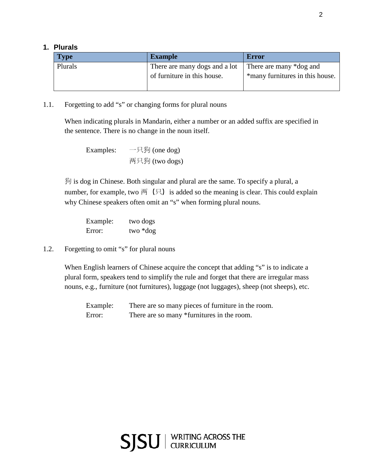### **1. Plurals**

| <b>Type</b> | <b>Example</b>                | <b>Error</b>                    |
|-------------|-------------------------------|---------------------------------|
| Plurals     | There are many dogs and a lot | There are many *dog and         |
|             | of furniture in this house.   | *many furnitures in this house. |

## 1.1. Forgetting to add "s" or changing forms for plural nouns

When indicating plurals in Mandarin, either a number or an added suffix are specified in the sentence. There is no change in the noun itself.

```
Examples: 一只狗 (one dog)
两只狗 (two dogs)
```
狗 is dog in Chinese. Both singular and plural are the same. To specify a plural, a number, for example, two  $\overline{p}$  ( $\overline{q}$ ) is added so the meaning is clear. This could explain why Chinese speakers often omit an "s" when forming plural nouns.

| Example: | two dogs |
|----------|----------|
| Error:   | two *dog |

1.2. Forgetting to omit "s" for plural nouns

When English learners of Chinese acquire the concept that adding "s" is to indicate a plural form, speakers tend to simplify the rule and forget that there are irregular mass nouns, e.g., furniture (not furnitures), luggage (not luggages), sheep (not sheeps), etc.

Example: There are so many pieces of furniture in the room. Error: There are so many \*furnitures in the room.

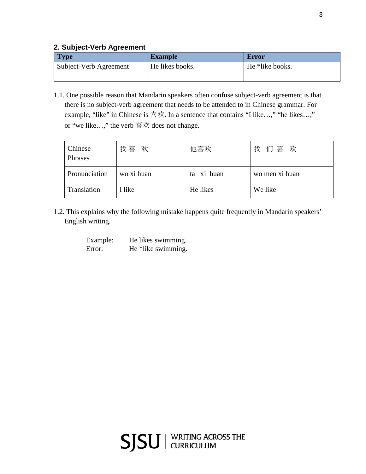# **2. Subject-Verb Agreement**

| <b>Type</b>            | <b>Example</b>  | <b>Error</b>    |
|------------------------|-----------------|-----------------|
| Subject-Verb Agreement | He likes books. | He *like books. |

1.1. One possible reason that Mandarin speakers often confuse subject-verb agreement is that there is no subject-verb agreement that needs to be attended to in Chinese grammar. For example, "like" in Chinese is 喜欢. In a sentence that contains "I like…," "he likes…," or "we like…," the verb 喜欢 does not change.

| Chinese<br>Phrases | 我喜 欢       | 他喜欢        | 们喜欢<br>我       |
|--------------------|------------|------------|----------------|
| Pronunciation      | wo xi huan | ta xi huan | wo men xi huan |
| Translation        | I like     | He likes   | We like        |

1.2. This explains why the following mistake happens quite frequently in Mandarin speakers' English writing.

| Example: | He likes swimming. |
|----------|--------------------|
| Error:   | He *like swimming. |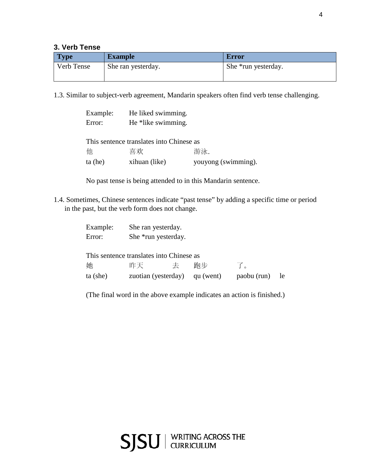# **3. Verb Tense**

| <b>Type</b> | <b>Example</b>     | Error               |
|-------------|--------------------|---------------------|
| Verb Tense  | She ran yesterday. | She *run yesterday. |

1.3. Similar to subject-verb agreement, Mandarin speakers often find verb tense challenging.

| Example:  | He liked swimming.                       |                     |
|-----------|------------------------------------------|---------------------|
| Error:    | He *like swimming.                       |                     |
|           |                                          |                     |
|           | This sentence translates into Chinese as |                     |
| 他         | 喜欢                                       | 游泳.                 |
| $ta$ (he) | xihuan (like)                            | youyong (swimming). |

No past tense is being attended to in this Mandarin sentence.

1.4. Sometimes, Chinese sentences indicate "past tense" by adding a specific time or period in the past, but the verb form does not change.

| Example:<br>Error: | She ran yesterday.<br>She *run yesterday. |   |           |             |           |
|--------------------|-------------------------------------------|---|-----------|-------------|-----------|
|                    | This sentence translates into Chinese as  |   |           |             |           |
| 她                  | 昨天                                        | 去 | 跑步        | 了。          |           |
| $ta$ (she)         | zuotian (yesterday)                       |   | qu (went) | paobu (run) | <b>le</b> |

(The final word in the above example indicates an action is finished.)

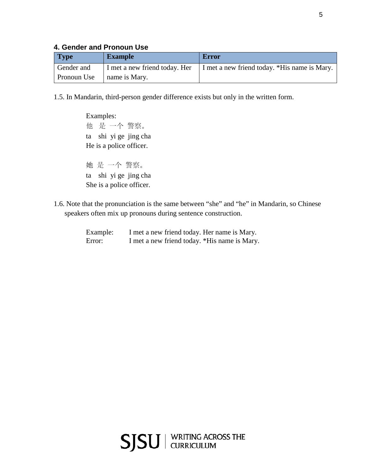### **4. Gender and Pronoun Use**

| <b>Type</b> | <b>Example</b> | Error                                                                        |
|-------------|----------------|------------------------------------------------------------------------------|
| Gender and  |                | I met a new friend today. Her   I met a new friend today. *His name is Mary. |
| Pronoun Use | name is Mary.  |                                                                              |

1.5. In Mandarin, third-person gender difference exists but only in the written form.

Examples: 他 是 一个 警察。 ta shi yi ge jing cha He is a police officer.

她 是 一个 警察。 ta shi yi ge jing cha She is a police officer.

1.6. Note that the pronunciation is the same between "she" and "he" in Mandarin, so Chinese speakers often mix up pronouns during sentence construction.

| Example: | I met a new friend today. Her name is Mary.  |  |
|----------|----------------------------------------------|--|
| Error:   | I met a new friend today. *His name is Mary. |  |

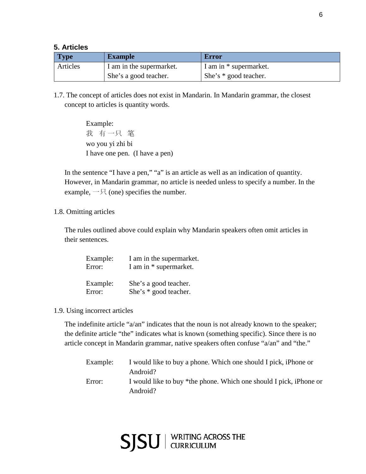### **5. Articles**

| <b>Type</b> | <b>Example</b>           | Error                  |
|-------------|--------------------------|------------------------|
| Articles    | I am in the supermarket. | I am in * supermarket. |
|             | She's a good teacher.    | She's * good teacher.  |

1.7. The concept of articles does not exist in Mandarin. In Mandarin grammar, the closest concept to articles is quantity words.

> Example: 我 有一只 笔 wo you yi zhi bi I have one pen. (I have a pen)

In the sentence "I have a pen," "a" is an article as well as an indication of quantity. However, in Mandarin grammar, no article is needed unless to specify a number. In the example,  $-\frac{1}{2}$  (one) specifies the number.

#### 1.8. Omitting articles

The rules outlined above could explain why Mandarin speakers often omit articles in their sentences.

| Example: | I am in the supermarket. |
|----------|--------------------------|
| Error:   | I am in * supermarket.   |
| Example: | She's a good teacher.    |
| Error:   | She's * good teacher.    |

1.9. Using incorrect articles

The indefinite article "a/an" indicates that the noun is not already known to the speaker; the definite article "the" indicates what is known (something specific). Since there is no article concept in Mandarin grammar, native speakers often confuse "a/an" and "the."

| Example: | I would like to buy a phone. Which one should I pick, iPhone or    |
|----------|--------------------------------------------------------------------|
|          | Android?                                                           |
| Error:   | I would like to buy *the phone. Which one should I pick, iPhone or |
|          | Android?                                                           |

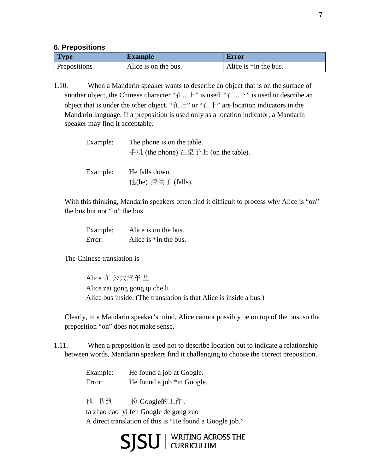#### **6. Prepositions**

| Type         | <b>Example</b>       | <b>Error</b>             |
|--------------|----------------------|--------------------------|
| Prepositions | Alice is on the bus. | Alice is $*$ in the bus. |

1.10. When a Mandarin speaker wants to describe an object that is on the surface of another object, the Chinese character "在...上" is used. "在...下" is used to describe an object that is under the other object. " $E^*$ " or " $E^*$ " are location indicators in the Mandarin language. If a preposition is used only as a location indicator, a Mandarin speaker may find it acceptable.

| Example: | The phone is on the table.<br>手机 (the phone) 在桌子上 (on the table). |  |
|----------|-------------------------------------------------------------------|--|
| Example: | He falls down.<br>他(he) 摔倒了 (falls).                              |  |

With this thinking, Mandarin speakers often find it difficult to process why Alice is "on" the bus but not "in" the bus.

| Example: | Alice is on the bus.     |
|----------|--------------------------|
| Error:   | Alice is $*$ in the bus. |

The Chinese translation is

Alice 在 公共汽车 里 Alice zai gong gong qi che li Alice bus inside. (The translation is that Alice is inside a bus.)

Clearly, in a Mandarin speaker's mind, Alice cannot possibly be on top of the bus, so the preposition "on" does not make sense.

1.11. When a preposition is used not to describe location but to indicate a relationship between words, Mandarin speakers find it challenging to choose the correct preposition.

> Example: He found a job at Google. Error: He found a job \*in Google.

他 找到 一份 Google的工作。

ta zhao dao yi fen Google de gong zuo A direct translation of this is "He found a Google job."

SISU | WRITING ACROSS THE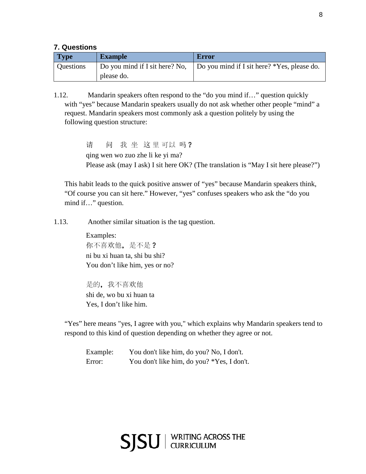#### **7. Questions**

| <b>Type</b>      | <b>Example</b>                 | Error                                       |
|------------------|--------------------------------|---------------------------------------------|
| <b>Questions</b> | Do you mind if I sit here? No, | Do you mind if I sit here? *Yes, please do. |
|                  | please do.                     |                                             |

1.12. Mandarin speakers often respond to the "do you mind if…" question quickly with "yes" because Mandarin speakers usually do not ask whether other people "mind" a request. Mandarin speakers most commonly ask a question politely by using the following question structure:

> 请 问 我 坐 这里可以 吗? qing wen wo zuo zhe li ke yi ma? Please ask (may I ask) I sit here OK? (The translation is "May I sit here please?")

This habit leads to the quick positive answer of "yes" because Mandarin speakers think, "Of course you can sit here." However, "yes" confuses speakers who ask the "do you mind if…" question.

1.13. Another similar situation is the tag question.

Examples: 你不喜欢他,是不是? ni bu xi huan ta, shi bu shi? You don't like him, yes or no?

是的,我不喜欢他 shi de, wo bu xi huan ta Yes, I don't like him.

"Yes" here means "yes, I agree with you," which explains why Mandarin speakers tend to respond to this kind of question depending on whether they agree or not.

Example: You don't like him, do you? No, I don't. Error: You don't like him, do you? \*Yes, I don't.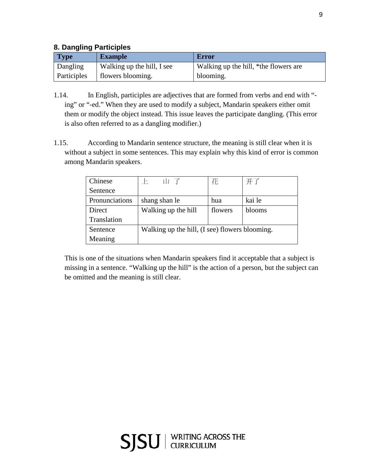## **8. Dangling Participles**

| <b>Type</b> | <b>Example</b>             | <b>Error</b>                          |
|-------------|----------------------------|---------------------------------------|
| Dangling    | Walking up the hill, I see | Walking up the hill, *the flowers are |
| Participles | flowers blooming.          | blooming.                             |

- 1.14. In English, participles are adjectives that are formed from verbs and end with " ing" or "-ed." When they are used to modify a subject, Mandarin speakers either omit them or modify the object instead. This issue leaves the participate dangling. (This error is also often referred to as a dangling modifier.)
- 1.15. According to Mandarin sentence structure, the meaning is still clear when it is without a subject in some sentences. This may explain why this kind of error is common among Mandarin speakers.

| Chinese        | 山子<br>F.                                       | 花       | 开了     |
|----------------|------------------------------------------------|---------|--------|
| Sentence       |                                                |         |        |
| Pronunciations | shang shan le                                  | hua     | kai le |
| Direct         | Walking up the hill                            | flowers | blooms |
| Translation    |                                                |         |        |
| Sentence       | Walking up the hill, (I see) flowers blooming. |         |        |
| Meaning        |                                                |         |        |

This is one of the situations when Mandarin speakers find it acceptable that a subject is missing in a sentence. "Walking up the hill" is the action of a person, but the subject can be omitted and the meaning is still clear.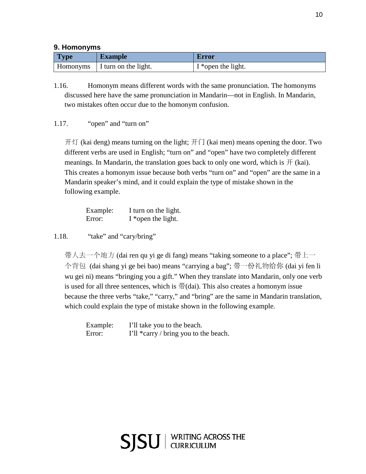### **9. Homonyms**

| <b>Type</b> | <b>Example</b>                  | <b>Error</b>       |
|-------------|---------------------------------|--------------------|
|             | Homonyms   I turn on the light. | I *open the light. |

1.16. Homonym means different words with the same pronunciation. The homonyms discussed here have the same pronunciation in Mandarin—not in English. In Mandarin, two mistakes often occur due to the homonym confusion.

### 1.17. "open" and "turn on"

开灯 (kai deng) means turning on the light; 开门 (kai men) means opening the door. Two different verbs are used in English; "turn on" and "open" have two completely different meanings. In Mandarin, the translation goes back to only one word, which is  $\#$  (kai). This creates a homonym issue because both verbs "turn on" and "open" are the same in a Mandarin speaker's mind, and it could explain the type of mistake shown in the following example.

| Example: | I turn on the light. |
|----------|----------------------|
| Error:   | I *open the light.   |

1.18. "take" and "cary/bring"

带人去一个地方 (dai ren qu yi ge di fang) means "taking someone to a place"; 带上一 个背包 (dai shang yi ge bei bao) means "carrying a bag"; 带一份礼物给你 (dai yi fen li wu gei ni) means "bringing you a gift." When they translate into Mandarin, only one verb is used for all three sentences, which is  $\#$ (dai). This also creates a homonym issue because the three verbs "take," "carry," and "bring" are the same in Mandarin translation, which could explain the type of mistake shown in the following example.

| Example: | I'll take you to the beach.           |
|----------|---------------------------------------|
| Error:   | I'll *carry / bring you to the beach. |

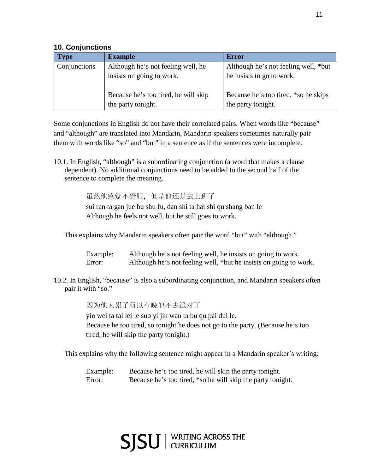### **10. Conjunctions**

| <b>Type</b>         | <b>Example</b>                       | <b>Error</b>                         |
|---------------------|--------------------------------------|--------------------------------------|
| <b>Conjunctions</b> | Although he's not feeling well, he   | Although he's not feeling well, *but |
|                     | insists on going to work.            | he insists to go to work.            |
|                     | Because he's too tired, he will skip | Because he's too tired, *so he skips |
|                     | the party tonight.                   | the party tonight.                   |

Some conjunctions in English do not have their correlated pairs. When words like "because" and "although" are translated into Mandarin, Mandarin speakers sometimes naturally pair them with words like "so" and "but" in a sentence as if the sentences were incomplete.

10.1. In English, "although" is a subordinating conjunction (a word that makes a clause dependent). No additional conjunctions need to be added to the second half of the sentence to complete the meaning.

虽然他感觉不舒服,但是他还是去上班了

sui ran ta gan jue bu shu fu, dan shi ta hai shi qu shang ban le Although he feels not well, but he still goes to work.

This explains why Mandarin speakers often pair the word "but" with "although."

Example: Although he's not feeling well, he insists on going to work. Error: Although he's not feeling well, \*but he insists on going to work.

 10.2. In English, "because" is also a subordinating conjunction, and Mandarin speakers often pair it with "so."

因为他太累了所以今晚他不去派对了

yin wei ta tai lei le suo yi jin wan ta bu qu pai dui le. Because he too tired, so tonight he does not go to the party. (Because he's too tired, he will skip the party tonight.)

This explains why the following sentence might appear in a Mandarin speaker's writing:

Example: Because he's too tired, he will skip the party tonight. Error: Because he's too tired, \*so he will skip the party tonight.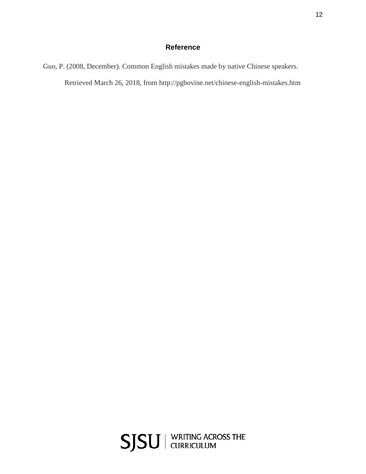# **Reference**

Guo, P. (2008, December). Common English mistakes made by native Chinese speakers. Retrieved March 26, 2018, from http://pgbovine.net/chinese-english-mistakes.htm